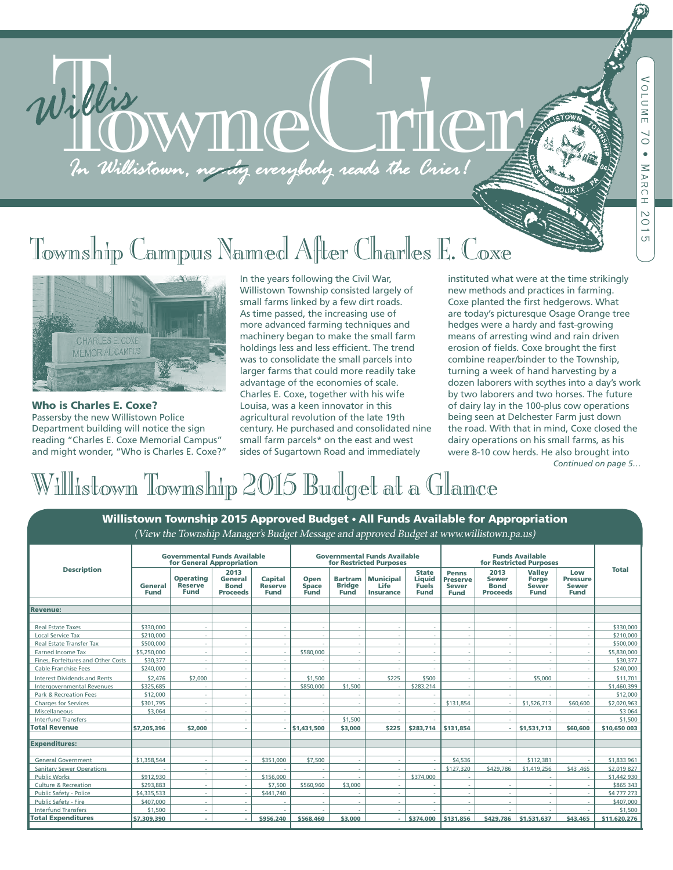# Township Campus Named After Charles E. Coxe

Willis MMMCCCT



Who is Charles E. Coxe? Passersby the new Willistown Police Department building will notice the sign reading "Charles E. Coxe Memorial Campus" and might wonder, "Who is Charles E. Coxe?" In the years following the Civil War, Willistown Township consisted largely of small farms linked by a few dirt roads. As time passed, the increasing use of more advanced farming techniques and machinery began to make the small farm holdings less and less efficient. The trend was to consolidate the small parcels into larger farms that could more readily take advantage of the economies of scale. Charles E. Coxe, together with his wife Louisa, was a keen innovator in this agricultural revolution of the late 19th century. He purchased and consolidated nine small farm parcels\* on the east and west sides of Sugartown Road and immediately

*Continued on page 5…* instituted what were at the time strikingly new methods and practices in farming. Coxe planted the first hedgerows. What are today's picturesque Osage Orange tree hedges were a hardy and fast-growing means of arresting wind and rain driven erosion of fields. Coxe brought the first combine reaper/binder to the Township, turning a week of hand harvesting by a dozen laborers with scythes into a day's work by two laborers and two horses. The future of dairy lay in the 100-plus cow operations being seen at Delchester Farm just down the road. With that in mind, Coxe closed the dairy operations on his small farms, as his were 8-10 cow herds. He also brought into

# Willistown Township 2015 Budget at a Glance

| Willistown Township 2015 Approved Budget . All Funds Available for Appropriation         |                                                                  |                                                   |                                                   |                                                 |                                                                |                                                |                                                     |                                                       |                                                         |                                                        |                                                       |                                                       |              |
|------------------------------------------------------------------------------------------|------------------------------------------------------------------|---------------------------------------------------|---------------------------------------------------|-------------------------------------------------|----------------------------------------------------------------|------------------------------------------------|-----------------------------------------------------|-------------------------------------------------------|---------------------------------------------------------|--------------------------------------------------------|-------------------------------------------------------|-------------------------------------------------------|--------------|
| (View the Township Manager's Budget Message and approved Budget at www.willistown.pa.us) |                                                                  |                                                   |                                                   |                                                 |                                                                |                                                |                                                     |                                                       |                                                         |                                                        |                                                       |                                                       |              |
|                                                                                          |                                                                  |                                                   |                                                   |                                                 |                                                                |                                                |                                                     |                                                       |                                                         |                                                        |                                                       |                                                       |              |
| <b>Description</b>                                                                       | <b>Governmental Funds Available</b><br>for General Appropriation |                                                   |                                                   |                                                 | <b>Governmental Funds Available</b><br>for Restricted Purposes |                                                |                                                     |                                                       | <b>Funds Available</b><br>for Restricted Purposes       |                                                        |                                                       |                                                       |              |
|                                                                                          | General<br>Fund                                                  | <b>Operating</b><br><b>Reserve</b><br><b>Fund</b> | 2013<br><b>General</b><br><b>Bond</b><br>Proceeds | <b>Capital</b><br><b>Reserve</b><br><b>Fund</b> | Open<br><b>Space</b><br>Fund                                   | <b>Bartram</b><br><b>Bridge</b><br><b>Fund</b> | <b>Municipal</b><br><b>Life</b><br><b>Insurance</b> | <b>State</b><br><b>Liquid</b><br><b>Fuels</b><br>Fund | Penns<br><b>Preserve</b><br><b>Sewer</b><br><b>Fund</b> | 2013<br><b>Sewer</b><br><b>Bond</b><br><b>Proceeds</b> | <b>Valley</b><br>Forge<br><b>Sewer</b><br><b>Fund</b> | Low<br><b>Pressure</b><br><b>Sewer</b><br><b>Fund</b> | <b>Total</b> |
| <b>Revenue:</b>                                                                          |                                                                  |                                                   |                                                   |                                                 |                                                                |                                                |                                                     |                                                       |                                                         |                                                        |                                                       |                                                       |              |
| <b>Real Estate Taxes</b>                                                                 | \$330,000                                                        |                                                   | ٠                                                 |                                                 |                                                                | $\sim$                                         |                                                     |                                                       |                                                         |                                                        |                                                       |                                                       | \$330,000    |
| <b>Local Service Tax</b>                                                                 | \$210,000                                                        |                                                   | ÷.                                                |                                                 |                                                                | $\sim$                                         |                                                     |                                                       |                                                         |                                                        |                                                       |                                                       | \$210,000    |
| <b>Real Estate Transfer Tax</b>                                                          | \$500,000                                                        |                                                   | ÷.                                                |                                                 |                                                                | $\sim$                                         |                                                     |                                                       |                                                         |                                                        | ÷                                                     |                                                       | \$500,000    |
| Earned Income Tax                                                                        | \$5,250,000                                                      |                                                   | ٠                                                 |                                                 | \$580,000                                                      | $\sim$                                         |                                                     |                                                       |                                                         |                                                        |                                                       |                                                       | \$5,830,000  |
| Fines, Forfeitures and Other Costs                                                       | \$30,377                                                         |                                                   | ×.                                                |                                                 |                                                                | $\sim$                                         |                                                     |                                                       |                                                         |                                                        |                                                       |                                                       | \$30,377     |
| <b>Cable Franchise Fees</b>                                                              | \$240,000                                                        |                                                   | ÷.                                                |                                                 |                                                                | $\sim$                                         |                                                     |                                                       |                                                         | $\sim$                                                 |                                                       |                                                       | \$240,000    |
| Interest Dividends and Rents                                                             | \$2.476                                                          | \$2,000                                           | ٠                                                 |                                                 | \$1.500                                                        |                                                | \$225                                               | \$500                                                 |                                                         | ×.                                                     | \$5,000                                               |                                                       | \$11,701     |
| Intergovernmental Revenues                                                               | \$325,685                                                        |                                                   | ×.                                                |                                                 | \$850,000                                                      | \$1,500                                        |                                                     | \$283,214                                             | ٠                                                       | $\sim$                                                 |                                                       | ×.                                                    | \$1,460,399  |
| Park & Recreation Fees                                                                   | \$12,000                                                         |                                                   | $\sim$                                            |                                                 |                                                                |                                                |                                                     |                                                       |                                                         | $\sim$                                                 | ٠                                                     |                                                       | \$12,000     |
| <b>Charges for Services</b>                                                              | \$301.795                                                        | <b>1999</b>                                       | $\sim$                                            |                                                 | ٠                                                              | $\sim$                                         |                                                     | ٠                                                     | \$131,854                                               | $\sim$                                                 | \$1,526,713                                           | \$60,600                                              | \$2,020,963  |
| Miscellaneous                                                                            | \$3,064                                                          |                                                   | $\sim$                                            |                                                 |                                                                |                                                |                                                     |                                                       |                                                         | <b>1999</b>                                            |                                                       |                                                       | \$3 064      |
| <b>Interfund Transfers</b>                                                               |                                                                  |                                                   | $\sim$                                            |                                                 |                                                                | \$1,500                                        |                                                     |                                                       |                                                         |                                                        |                                                       |                                                       | \$1,500      |
| <b>Total Revenue</b>                                                                     | \$7,205,396                                                      | \$2,000                                           | ٠                                                 |                                                 | \$1,431,500                                                    | \$3,000                                        | \$225                                               | \$283,714                                             | \$131,854                                               |                                                        | $-$ \$1.531.713                                       | \$60,600                                              | \$10,650 003 |
| <b>Expenditures:</b>                                                                     |                                                                  |                                                   |                                                   |                                                 |                                                                |                                                |                                                     |                                                       |                                                         |                                                        |                                                       |                                                       |              |
| <b>General Government</b>                                                                | \$1,358,544                                                      |                                                   | ÷.                                                | \$351,000                                       | \$7,500                                                        | $\sim$                                         |                                                     |                                                       | \$4,536                                                 |                                                        | \$112,381                                             |                                                       | \$1,833 961  |
| <b>Sanitary Sewer Operations</b>                                                         |                                                                  |                                                   | $\sim$                                            |                                                 |                                                                |                                                |                                                     |                                                       | \$127,320                                               | \$429,786                                              | \$1,419,256                                           | \$43,465                                              | \$2,019 827  |
| <b>Public Works</b>                                                                      | \$912,930                                                        | ×.                                                | ÷.                                                | \$156,000                                       |                                                                |                                                |                                                     | \$374,000                                             |                                                         |                                                        |                                                       |                                                       | \$1,442 930  |
| Culture & Recreation                                                                     | \$293,883                                                        |                                                   | ÷.                                                | \$7,500                                         | \$560,960                                                      | \$3,000                                        |                                                     |                                                       |                                                         |                                                        |                                                       |                                                       | \$865 343    |
| Public Safety - Police                                                                   | \$4,335,533                                                      |                                                   | ÷.                                                | \$441.740                                       |                                                                |                                                |                                                     |                                                       |                                                         |                                                        |                                                       |                                                       | \$4 777 273  |
| Public Safety - Fire                                                                     | \$407,000                                                        |                                                   | ×.                                                |                                                 |                                                                | $\sim$                                         |                                                     |                                                       |                                                         |                                                        |                                                       |                                                       | \$407,000    |
| <b>Interfund Transfers</b>                                                               | \$1,500                                                          |                                                   | ÷.                                                |                                                 |                                                                |                                                |                                                     |                                                       |                                                         |                                                        |                                                       |                                                       | \$1,500      |
| <b>Total Expenditures</b>                                                                | \$7,309,390                                                      |                                                   | ×.                                                | \$956,240                                       | \$568,460                                                      | \$3,000                                        | ÷.                                                  | \$374,000                                             | \$131,856                                               |                                                        | \$429,786 \$1,531,637                                 | \$43,465                                              | \$11,620,276 |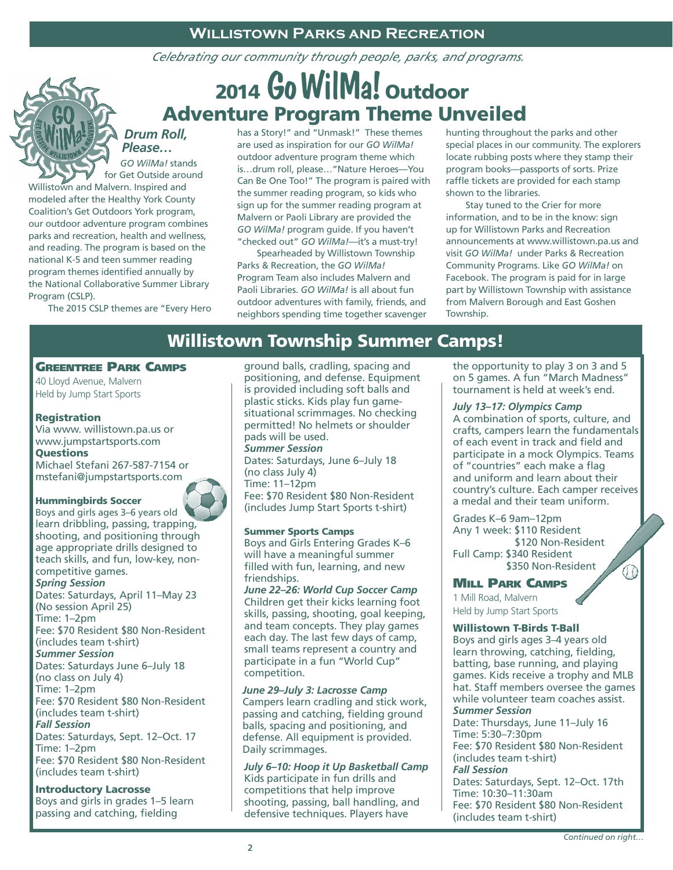### **Willistown Parks and Recreation**

*Celebrating our community through people, parks, and programs.*

## 2014 Go WilMa! Outdoor Adventure Program Theme Unveiled

*Drum Roll, Please… GO WilMa!* stands

for Get Outside around Willistown and Malvern. Inspired and modeled after the Healthy York County Coalition's Get Outdoors York program, our outdoor adventure program combines parks and recreation, health and wellness, and reading. The program is based on the national K-5 and teen summer reading program themes identified annually by the National Collaborative Summer Library Program (CSLP).

The 2015 CSLP themes are "Every Hero

has a Story!" and "Unmask!" These themes are used as inspiration for our *GO WilMa!*  outdoor adventure program theme which is…drum roll, please…"Nature Heroes—You Can Be One Too!" The program is paired with the summer reading program, so kids who sign up for the summer reading program at Malvern or Paoli Library are provided the *GO WilMa!* program guide. If you haven't "checked out" *GO WilMa!*—it's a must-try!

 Spearheaded by Willistown Township Parks & Recreation, the *GO WilMa!*  Program Team also includes Malvern and Paoli Libraries. *GO WilMa!* is all about fun outdoor adventures with family, friends, and neighbors spending time together scavenger hunting throughout the parks and other special places in our community. The explorers locate rubbing posts where they stamp their program books—passports of sorts. Prize raffle tickets are provided for each stamp shown to the libraries.

 Stay tuned to the Crier for more information, and to be in the know: sign up for Willistown Parks and Recreation announcements at www.willistown.pa.us and visit *GO WilMa!* under Parks & Recreation Community Programs. Like *GO WilMa!* on Facebook. The program is paid for in large part by Willistown Township with assistance from Malvern Borough and East Goshen Township.

### Willistown Township Summer Camps!

### Greentree Park Camps

40 Lloyd Avenue, Malvern Held by Jump Start Sports

### Registration

Via www. willistown.pa.us or www.jumpstartsports.com Questions

Michael Stefani 267-587-7154 or mstefani@jumpstartsports.com

### Hummingbirds Soccer

Boys and girls ages 3–6 years old learn dribbling, passing, trapping, shooting, and positioning through age appropriate drills designed to teach skills, and fun, low-key, noncompetitive games. *Spring Session* Dates: Saturdays, April 11–May 23 (No session April 25) Time: 1–2pm Fee: \$70 Resident \$80 Non-Resident (includes team t-shirt) *Summer Session* Dates: Saturdays June 6–July 18 (no class on July 4) Time: 1–2pm Fee: \$70 Resident \$80 Non-Resident (includes team t-shirt) *Fall Session* Dates: Saturdays, Sept. 12–Oct. 17 Time: 1–2pm Fee: \$70 Resident \$80 Non-Resident (includes team t-shirt)

### Introductory Lacrosse

Boys and girls in grades 1–5 learn passing and catching, fielding

ground balls, cradling, spacing and positioning, and defense. Equipment is provided including soft balls and plastic sticks. Kids play fun gamesituational scrimmages. No checking permitted! No helmets or shoulder pads will be used. *Summer Session* Dates: Saturdays, June 6–July 18 (no class July 4)

Time: 11–12pm Fee: \$70 Resident \$80 Non-Resident (includes Jump Start Sports t-shirt)

### Summer Sports Camps

Boys and Girls Entering Grades K–6 will have a meaningful summer filled with fun, learning, and new friendships. *June 22–26: World Cup Soccer Camp* Children get their kicks learning foot skills, passing, shooting, goal keeping, and team concepts. They play games

each day. The last few days of camp, small teams represent a country and participate in a fun "World Cup" competition.

### *June 29–July 3: Lacrosse Camp*

Campers learn cradling and stick work, passing and catching, fielding ground balls, spacing and positioning, and defense. All equipment is provided. Daily scrimmages.

*July 6–10: Hoop it Up Basketball Camp* Kids participate in fun drills and competitions that help improve shooting, passing, ball handling, and defensive techniques. Players have

the opportunity to play 3 on 3 and 5 on 5 games. A fun "March Madness" tournament is held at week's end.

### *July 13–17: Olympics Camp*

A combination of sports, culture, and crafts, campers learn the fundamentals of each event in track and field and participate in a mock Olympics. Teams of "countries" each make a flag and uniform and learn about their country's culture. Each camper receives a medal and their team uniform.

Grades K–6 9am–12pm Any 1 week: \$110 Resident \$120 Non-Resident Full Camp: \$340 Resident \$350 Non-Resident

### Mill Park Camps

1 Mill Road, Malvern Held by Jump Start Sports

### Willistown T-Birds T-Ball

Boys and girls ages 3–4 years old learn throwing, catching, fielding, batting, base running, and playing games. Kids receive a trophy and MLB hat. Staff members oversee the games while volunteer team coaches assist. *Summer Session* Date: Thursdays, June 11–July 16 Time: 5:30–7:30pm Fee: \$70 Resident \$80 Non-Resident (includes team t-shirt) *Fall Session* Dates: Saturdays, Sept. 12–Oct. 17th Time: 10:30–11:30am Fee: \$70 Resident \$80 Non-Resident (includes team t-shirt)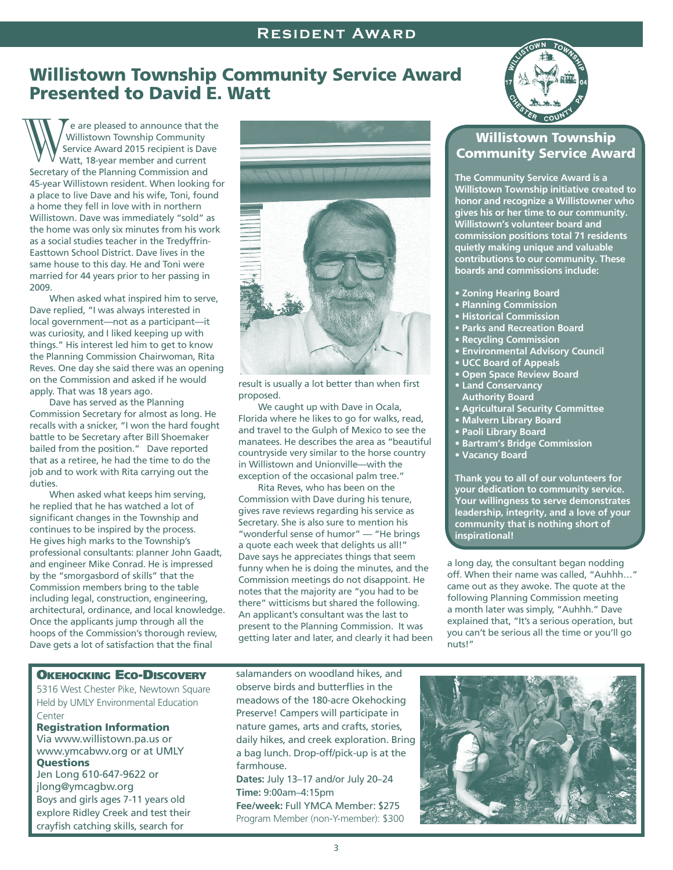### Willistown Township Community Service Award Presented to David E. Watt

e are pleased to announce that the Willistown Township Community Service Award 2015 recipient is Dave Watt, 18-year member and current Secretary of the Planning Commission and 45-year Willistown resident. When looking for a place to live Dave and his wife, Toni, found W Service Award 2015 recipient is David Watt, 18-year member and current<br>Secretary of the Planning Commission and<br>45-year Willistown resident. When lookin<br>a place to live Dave and his wife, Toni, for<br>a home they fell in lo Willistown. Dave was immediately "sold" as the home was only six minutes from his work as a social studies teacher in the Tredyffrin-Easttown School District. Dave lives in the same house to this day. He and Toni were married for 44 years prior to her passing in 2009.

When asked what inspired him to serve, Dave replied, "I was always interested in local government—not as a participant—it was curiosity, and I liked keeping up with things." His interest led him to get to know the Planning Commission Chairwoman, Rita Reves. One day she said there was an opening on the Commission and asked if he would apply. That was 18 years ago.

 Dave has served as the Planning Commission Secretary for almost as long. He recalls with a snicker, "I won the hard fought battle to be Secretary after Bill Shoemaker bailed from the position." Dave reported that as a retiree, he had the time to do the job and to work with Rita carrying out the duties.

 When asked what keeps him serving, he replied that he has watched a lot of significant changes in the Township and continues to be inspired by the process. He gives high marks to the Township's professional consultants: planner John Gaadt, and engineer Mike Conrad. He is impressed by the "smorgasbord of skills" that the Commission members bring to the table including legal, construction, engineering, architectural, ordinance, and local knowledge. Once the applicants jump through all the hoops of the Commission's thorough review, Dave gets a lot of satisfaction that the final



result is usually a lot better than when first proposed.

We caught up with Dave in Ocala. Florida where he likes to go for walks, read, and travel to the Gulph of Mexico to see the manatees. He describes the area as "beautiful countryside very similar to the horse country in Willistown and Unionville—with the exception of the occasional palm tree."

 Rita Reves, who has been on the Commission with Dave during his tenure, gives rave reviews regarding his service as Secretary. She is also sure to mention his "wonderful sense of humor" — "He brings a quote each week that delights us all!" Dave says he appreciates things that seem funny when he is doing the minutes, and the Commission meetings do not disappoint. He notes that the majority are "you had to be there" witticisms but shared the following. An applicant's consultant was the last to present to the Planning Commission. It was getting later and later, and clearly it had been



### Willistown Township Community Service Award

**The Community Service Award is a Willistown Township initiative created to honor and recognize a Willistowner who gives his or her time to our community. Willistown's volunteer board and commission positions total 71 residents quietly making unique and valuable contributions to our community. These boards and commissions include:**

- **Zoning Hearing Board**
- **Planning Commission**
- **Historical Commission**
- **Parks and Recreation Board**
- **Recycling Commission**
- **Environmental Advisory Council**
- **UCC Board of Appeals**
- **Open Space Review Board**
- **Land Conservancy Authority Board**
- **Agricultural Security Committee**
- **Malvern Library Board**
- **Paoli Library Board**
- **Bartram's Bridge Commission**
- **Vacancy Board**

**Thank you to all of our volunteers for your dedication to community service. Your willingness to serve demonstrates leadership, integrity, and a love of your community that is nothing short of inspirational!**

a long day, the consultant began nodding off. When their name was called, "Auhhh…" came out as they awoke. The quote at the following Planning Commission meeting a month later was simply, "Auhhh." Dave explained that, "It's a serious operation, but you can't be serious all the time or you'll go nuts!"

### Okehocking Eco-Discovery

5316 West Chester Pike, Newtown Square Held by UMLY Environmental Education Center

### Registration Information

Via www.willistown.pa.us or www.ymcabwv.org or at UMLY **Questions** 

Jen Long 610-647-9622 or jlong@ymcagbw.org Boys and girls ages 7-11 years old explore Ridley Creek and test their crayfish catching skills, search for

salamanders on woodland hikes, and observe birds and butterflies in the meadows of the 180-acre Okehocking Preserve! Campers will participate in nature games, arts and crafts, stories, daily hikes, and creek exploration. Bring a bag lunch. Drop-off/pick-up is at the farmhouse.

**Dates:** July 13–17 and/or July 20–24 **Time:** 9:00am–4:15pm

**Fee/week:** Full YMCA Member: \$275 Program Member (non-Y-member): \$300

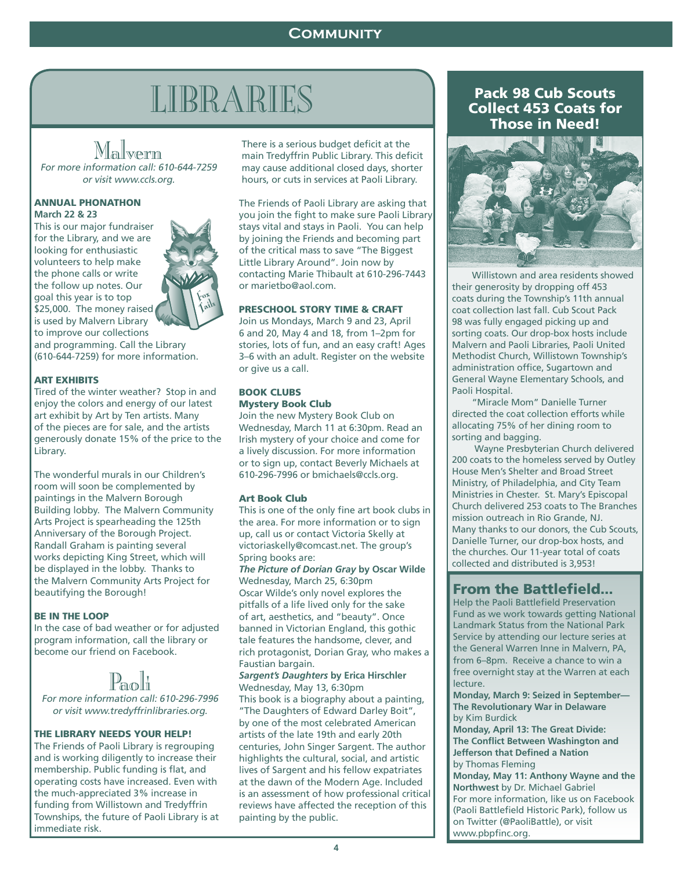### **COMMUNITY Willistown Parks and Recreation**

# $\frac{\text{LIBRARIES}}{\text{Mall} \times \text{RIPR} \times \text{RIPBS}}$

MALII VOLTIII<br>For more information call: 610-644-7259<br>An use visit was veste org or visit www.ccls.org.

### ANNUAL PHONATHON **March 22 & 23**

This is our major fundraiser for the Library, and we are looking for enthusiastic volunteers to help make the phone calls or write the follow up notes. Our goal this year is to top \$25,000. The money raised is used by Malvern Library to improve our collections

and programming. Call the Library (610-644-7259) for more information.

### ART EXHIBITS

Tired of the winter weather? Stop in and enjoy the colors and energy of our latest art exhibit by Art by Ten artists. Many of the pieces are for sale, and the artists generously donate 15% of the price to the Library.

The wonderful murals in our Children's room will soon be complemented by paintings in the Malvern Borough Building lobby. The Malvern Community Arts Project is spearheading the 125th Anniversary of the Borough Project. Randall Graham is painting several works depicting King Street, which will be displayed in the lobby. Thanks to the Malvern Community Arts Project for beautifying the Borough!

### BE IN THE LOOP

In the case of bad weather or for adjusted program information, call the library or become our friend on Facebook.

IL &UQUIII<br>For more information call: 610-296-7996<br>exercit www.troduffrinlibraries.org or visit www.tredyffrinlibraries.org.

### THE LIBRARY NEEDS YOUR HELP!

The Friends of Paoli Library is regrouping and is working diligently to increase their membership. Public funding is flat, and operating costs have increased. Even with the much-appreciated 3% increase in funding from Willistown and Tredyffrin Townships, the future of Paoli Library is at immediate risk.

There is a serious budget deficit at the main Tredyffrin Public Library. This deficit may cause additional closed days, shorter hours, or cuts in services at Paoli Library.

The Friends of Paoli Library are asking that you join the fight to make sure Paoli Library stays vital and stays in Paoli. You can help by joining the Friends and becoming part of the critical mass to save "The Biggest Little Library Around". Join now by contacting Marie Thibault at 610-296-7443 or marietbo@aol.com.

### PRESCHOOL STORY TIME & CRAFT

Join us Mondays, March 9 and 23, April 6 and 20, May 4 and 18, from 1–2pm for stories, lots of fun, and an easy craft! Ages 3–6 with an adult. Register on the website or give us a call.

### BOOK CLUBS Mystery Book Club

Join the new Mystery Book Club on Wednesday, March 11 at 6:30pm. Read an Irish mystery of your choice and come for a lively discussion. For more information or to sign up, contact Beverly Michaels at 610-296-7996 or bmichaels@ccls.org.

### Art Book Club

This is one of the only fine art book clubs in the area. For more information or to sign up, call us or contact Victoria Skelly at victoriaskelly@comcast.net. The group's Spring books are:

*The Picture of Dorian Gray* **by Oscar Wilde** Wednesday, March 25, 6:30pm Oscar Wilde's only novel explores the pitfalls of a life lived only for the sake of art, aesthetics, and "beauty". Once banned in Victorian England, this gothic tale features the handsome, clever, and rich protagonist, Dorian Gray, who makes a Faustian bargain.

### *Sargent's Daughters* **by Erica Hirschler**  Wednesday, May 13, 6:30pm

This book is a biography about a painting, "The Daughters of Edward Darley Boit", by one of the most celebrated American artists of the late 19th and early 20th centuries, John Singer Sargent. The author highlights the cultural, social, and artistic lives of Sargent and his fellow expatriates at the dawn of the Modern Age. Included is an assessment of how professional critical reviews have affected the reception of this painting by the public.

### Pack 98 Cub Scouts Collect 453 Coats for Those in Need!



 Willistown and area residents showed their generosity by dropping off 453 coats during the Township's 11th annual coat collection last fall. Cub Scout Pack 98 was fully engaged picking up and sorting coats. Our drop-box hosts include Malvern and Paoli Libraries, Paoli United Methodist Church, Willistown Township's administration office, Sugartown and General Wayne Elementary Schools, and Paoli Hospital.

 "Miracle Mom" Danielle Turner directed the coat collection efforts while allocating 75% of her dining room to sorting and bagging.

 Wayne Presbyterian Church delivered 200 coats to the homeless served by Outley House Men's Shelter and Broad Street Ministry, of Philadelphia, and City Team Ministries in Chester. St. Mary's Episcopal Church delivered 253 coats to The Branches mission outreach in Rio Grande, NJ. Many thanks to our donors, the Cub Scouts, Danielle Turner, our drop-box hosts, and the churches. Our 11-year total of coats collected and distributed is 3,953!

### From the Battlefield...

Help the Paoli Battlefield Preservation Fund as we work towards getting National Landmark Status from the National Park Service by attending our lecture series at the General Warren Inne in Malvern, PA, from 6–8pm. Receive a chance to win a free overnight stay at the Warren at each lecture.

**Monday, March 9: Seized in September— The Revolutionary War in Delaware**  by Kim Burdick

**Monday, April 13: The Great Divide: The Conflict Between Washington and Jefferson that Defined a Nation**  by Thomas Fleming

**Monday, May 11: Anthony Wayne and the Northwest** by Dr. Michael Gabriel For more information, like us on Facebook (Paoli Battlefield Historic Park), follow us on Twitter (@PaoliBattle), or visit www.pbpfinc.org.

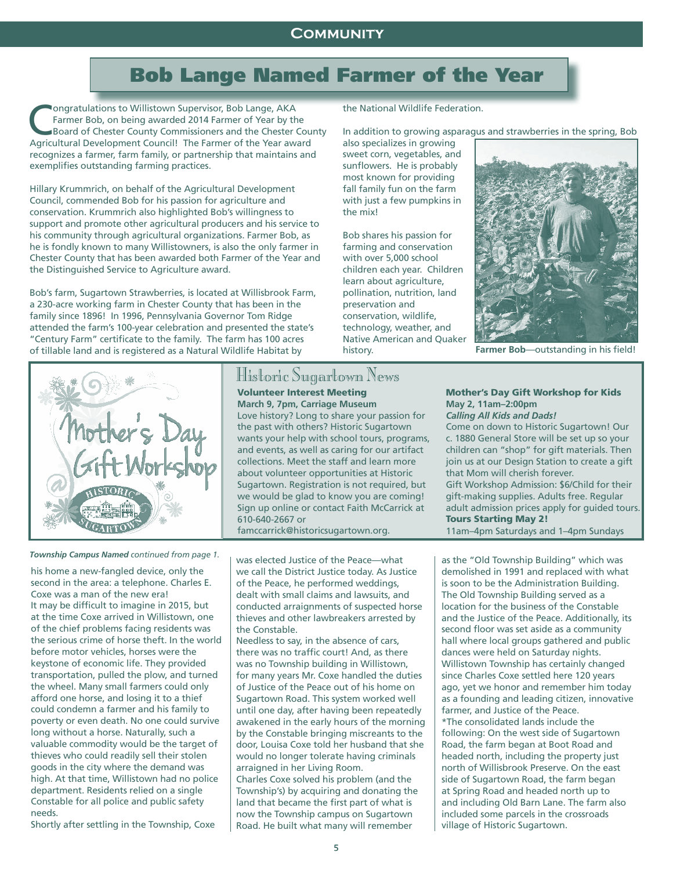### **COMMUNITY**

## Bob Lange Named Farmer of the Year

**Ongratulations to Willistown Supervisor, Bob Lange, AKA** Farmer Bob, on being awarded 2014 Farmer of Year by the Board of Chester County Commissioners and the Chester County Agricultural Development Council! The Farmer of the Year award recognizes a farmer, farm family, or partnership that maintains and exemplifies outstanding farming practices.

Hillary Krummrich, on behalf of the Agricultural Development Council, commended Bob for his passion for agriculture and conservation. Krummrich also highlighted Bob's willingness to support and promote other agricultural producers and his service to his community through agricultural organizations. Farmer Bob, as he is fondly known to many Willistowners, is also the only farmer in Chester County that has been awarded both Farmer of the Year and the Distinguished Service to Agriculture award.

Bob's farm, Sugartown Strawberries, is located at Willisbrook Farm, a 230-acre working farm in Chester County that has been in the family since 1896! In 1996, Pennsylvania Governor Tom Ridge attended the farm's 100-year celebration and presented the state's "Century Farm" certificate to the family. The farm has 100 acres of tillable land and is registered as a Natural Wildlife Habitat by



**THISTOFIC OUIGEFTOWIL ITEWS**<br>**Volunteer Interest Meeting March 9, 7pm, Carriage Museum**

Love history? Long to share your passion for the past with others? Historic Sugartown wants your help with school tours, programs, and events, as well as caring for our artifact collections. Meet the staff and learn more about volunteer opportunities at Historic Sugartown. Registration is not required, but we would be glad to know you are coming! Sign up online or contact Faith McCarrick at 610-640-2667 or

famccarrick@historicsugartown.org.

*Township Campus Named continued from page 1.*

his home a new-fangled device, only the second in the area: a telephone. Charles E. Coxe was a man of the new era! It may be difficult to imagine in 2015, but at the time Coxe arrived in Willistown, one of the chief problems facing residents was the serious crime of horse theft. In the world before motor vehicles, horses were the keystone of economic life. They provided transportation, pulled the plow, and turned the wheel. Many small farmers could only afford one horse, and losing it to a thief could condemn a farmer and his family to poverty or even death. No one could survive long without a horse. Naturally, such a valuable commodity would be the target of thieves who could readily sell their stolen goods in the city where the demand was high. At that time, Willistown had no police department. Residents relied on a single Constable for all police and public safety needs.

Shortly after settling in the Township, Coxe

was elected Justice of the Peace—what we call the District Justice today. As Justice of the Peace, he performed weddings, dealt with small claims and lawsuits, and conducted arraignments of suspected horse thieves and other lawbreakers arrested by the Constable.

Needless to say, in the absence of cars, there was no traffic court! And, as there was no Township building in Willistown, for many years Mr. Coxe handled the duties of Justice of the Peace out of his home on Sugartown Road. This system worked well until one day, after having been repeatedly awakened in the early hours of the morning by the Constable bringing miscreants to the door, Louisa Coxe told her husband that she would no longer tolerate having criminals arraigned in her Living Room. Charles Coxe solved his problem (and the Township's) by acquiring and donating the

land that became the first part of what is now the Township campus on Sugartown Road. He built what many will remember

the National Wildlife Federation.

In addition to growing asparagus and strawberries in the spring, Bob

also specializes in growing sweet corn, vegetables, and sunflowers. He is probably most known for providing fall family fun on the farm with just a few pumpkins in the mix!

Bob shares his passion for farming and conservation with over 5,000 school children each year. Children learn about agriculture, pollination, nutrition, land preservation and conservation, wildlife, technology, weather, and Native American and Quaker history.



**Farmer Bob**—outstanding in his field!

### Mother's Day Gift Workshop for Kids **May 2, 11am–2:00pm**

*Calling All Kids and Dads!* Come on down to Historic Sugartown! Our c. 1880 General Store will be set up so your children can "shop" for gift materials. Then join us at our Design Station to create a gift

that Mom will cherish forever. Gift Workshop Admission: \$6/Child for their gift-making supplies. Adults free. Regular adult admission prices apply for guided tours. Tours Starting May 2!

11am–4pm Saturdays and 1–4pm Sundays

as the "Old Township Building" which was demolished in 1991 and replaced with what is soon to be the Administration Building. The Old Township Building served as a location for the business of the Constable and the Justice of the Peace. Additionally, its second floor was set aside as a community hall where local groups gathered and public dances were held on Saturday nights. Willistown Township has certainly changed since Charles Coxe settled here 120 years ago, yet we honor and remember him today as a founding and leading citizen, innovative farmer, and Justice of the Peace. \*The consolidated lands include the following: On the west side of Sugartown Road, the farm began at Boot Road and headed north, including the property just north of Willisbrook Preserve. On the east side of Sugartown Road, the farm began at Spring Road and headed north up to and including Old Barn Lane. The farm also included some parcels in the crossroads village of Historic Sugartown.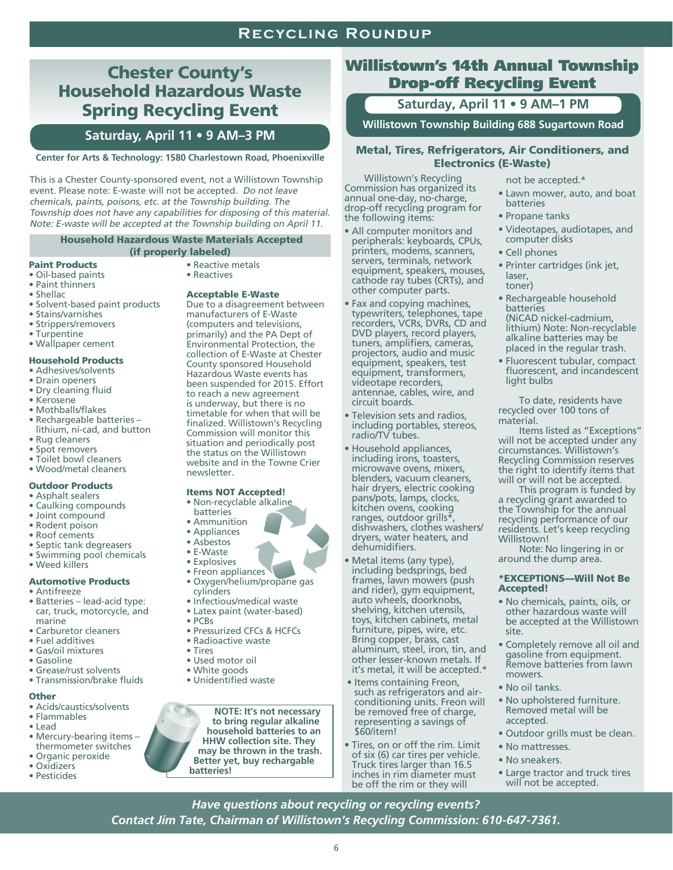### **Recycling Roundup**

### Chester County's Household Hazardous Waste Spring Recycling Event

### **Saturday, April 11 • 9 AM–3 PM**

### **Center for Arts & Technology: 1580 Charlestown Road, Phoenixville**

This is a Chester County-sponsored event, not a Willistown Township event. Please note: E-waste will not be accepted. Do not leave chemicals, paints, poisons, etc. at the Township building. The Township does not have any capabilities for disposing of this material. Note: E-waste will be accepted at the Township building on April 11.

### Household Hazardous Waste Materials Accepted (if properly labeled)

### Paint Products

- Oil-based paints
- Paint thinners
- Shellac
- Solvent-based paint products
- Stains/varnishes
- Strippers/removers
- Turpentine
- Wallpaper cement

### Household Products

- Adhesives/solvents
- Drain openers
- Dry cleaning fluid • Kerosene
- 
- Mothballs/flakes • Rechargeable batteries –
- lithium, ni-cad, and button
- Rug cleaners
- Spot removers
- Toilet bowl cleaners • Wood/metal cleaners
- 
- Outdoor Products
- Asphalt sealers
- Caulking compounds
- Joint compound
- Rodent poison
- Roof cements
- Septic tank degreasers
- Swimming pool chemicals
- Weed killers

### Automotive Products • Antifreeze

- Batteries lead-acid type:
- car, truck, motorcycle, and marine
- Carburetor cleaners
- Fuel additives
- Gas/oil mixtures
- Gasoline
- Grease/rust solvents • Transmission/brake fluids

### **Other**

- Acids/caustics/solvents
- Flammables
- Lead
- Mercury-bearing items thermometer switches
- Organic peroxide • Oxidizers
- Pesticides
- Reactive metals
- Reactives

### Acceptable E-Waste

Due to a disagreement between manufacturers of E-Waste (computers and televisions, primarily) and the PA Dept of Environmental Protection, the collection of E-Waste at Chester County sponsored Household Hazardous Waste events has been suspended for 2015. Effort to reach a new agreement is underway, but there is no timetable for when that will be finalized. Willistown's Recycling Commission will monitor this situation and periodically post the status on the Willistown website and in the Towne Crier newsletter.

### Items NOT Accepted!

- Non-recyclable alkaline
- batteries
- Ammunition
- Appliances • Asbestos
- E-Waste
- Explosives
- Freon appliances
- Oxygen/helium/propane gas cylinders
- Infectious/medical waste
- Latex paint (water-based)
- PCBs
- Pressurized CFCs & HCFCs
- Radioactive waste
- Tires
- Used motor oil
- White goods
- Unidentified waste

**NOTE: It's not necessary to bring regular alkaline household batteries to an HHW collection site. They may be thrown in the trash. Better yet, buy rechargable batteries!**

### Willistown's 14th Annual Township Drop-off Recycling Event

**Saturday, April 11 • 9 AM–1 PM** 

**Willistown Township Building 688 Sugartown Road**

### Metal, Tires, Refrigerators, Air Conditioners, and Electronics (E-Waste)

 Willistown's Recycling Commission has organized its annual one-day, no-charge, drop-off recycling program for the following items:

- All computer monitors and peripherals: keyboards, CPUs, printers, modems, scanners, servers, terminals, network equipment, speakers, mouses, cathode ray tubes (CRTs), and other computer parts.
- Fax and copying machines, typewriters, telephones, tape recorders, VCRs, DVRs, CD and DVD players, record players, tuners, amplifiers, cameras, projectors, audio and music equipment, speakers, test equipment, transformers, videotape recorders, antennae, cables, wire, and circuit boards.
- Television sets and radios, including portables, stereos, radio/TV tubes.
- Household appliances, including irons, toasters, microwave ovens, mixers, blenders, vacuum cleaners, hair dryers, electric cooking pans/pots, lamps, clocks, kitchen ovens, cooking ranges, outdoor grills\*, dishwashers, clothes washers/ dryers, water heaters, and dehumidifiers.
- Metal items (any type), including bedsprings, bed frames, lawn mowers (push and rider), gym equipment, auto wheels, doorknobs, shelving, kitchen utensils, toys, kitchen cabinets, metal furniture, pipes, wire, etc. Bring copper, brass, cast aluminum, steel, iron, tin, and other lesser-known metals. If it's metal, it will be accepted.\*
- Items containing Freon, such as refrigerators and airconditioning units. Freon will be removed free of charge, representing a savings of \$60/item!
- Tires, on or off the rim. Limit of six (6) car tires per vehicle. Truck tires larger than 16.5 inches in rim diameter must be off the rim or they will

6

*Have questions about recycling or recycling events? Contact Jim Tate, Chairman of Willistown's Recycling Commission: 610-647-7361.*

- not be accepted.\*
- Lawn mower, auto, and boat batteries
- Propane tanks
- Videotapes, audiotapes, and computer disks
- Cell phones
- Printer cartridges (ink jet, laser, toner)
- Rechargeable household batteries (NiCAD nickel-cadmium, lithium) Note: Non-recyclable alkaline batteries may be placed in the regular trash.
- Fluorescent tubular, compact fluorescent, and incandescent light bulbs

 To date, residents have recycled over 100 tons of material.

 Items listed as "Exceptions" will not be accepted under any circumstances. Willistown's Recycling Commission reserves the right to identify items that will or will not be accepted.

 This program is funded by a recycling grant awarded to the Township for the annual recycling performance of our residents. Let's keep recycling Willistown!

 Note: No lingering in or around the dump area.

### \*EXCEPTIONS—Will Not Be Accepted!

- No chemicals, paints, oils, or other hazardous waste will be accepted at the Willistown site.
- Completely remove all oil and gasoline from equipment. Remove batteries from lawn mowers. • No oil tanks.

• No upholstered furniture. Removed metal will be

• Outdoor grills must be clean.

• Large tractor and truck tires will not be accepted.

accepted.

• No mattresses. • No sneakers.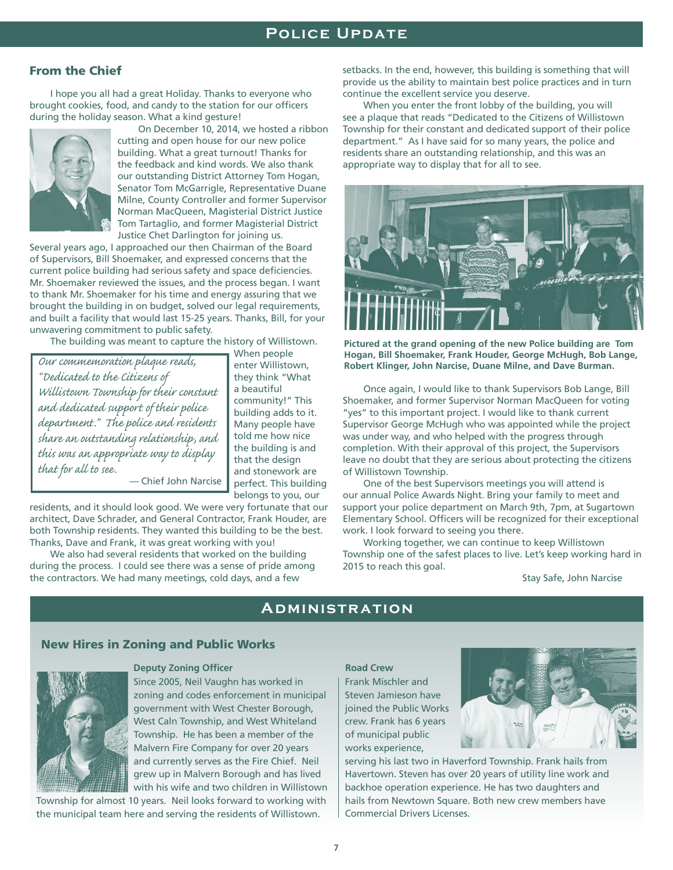### From the Chief

 I hope you all had a great Holiday. Thanks to everyone who brought cookies, food, and candy to the station for our officers during the holiday season. What a kind gesture!



 On December 10, 2014, we hosted a ribbon cutting and open house for our new police building. What a great turnout! Thanks for the feedback and kind words. We also thank our outstanding District Attorney Tom Hogan, Senator Tom McGarrigle, Representative Duane Milne, County Controller and former Supervisor Norman MacQueen, Magisterial District Justice Tom Tartaglio, and former Magisterial District Justice Chet Darlington for joining us.

Several years ago, I approached our then Chairman of the Board of Supervisors, Bill Shoemaker, and expressed concerns that the current police building had serious safety and space deficiencies. Mr. Shoemaker reviewed the issues, and the process began. I want to thank Mr. Shoemaker for his time and energy assuring that we brought the building in on budget, solved our legal requirements, and built a facility that would last 15-25 years. Thanks, Bill, for your unwavering commitment to public safety.

The building was meant to capture the history of Willistown.

*Our commemoration plaque reads, "Dedicated to the Citizens of Willistown Township for their constant and dedicated support of their police department." The police and residents share an outstanding relationship, and this was an appropriate way to display that for all to see.* — Chief John Narcise When people enter Willistown, they think "What a beautiful community!" This building adds to it. Many people have told me how nice the building is and that the design and stonework are perfect. This building belongs to you, our

residents, and it should look good. We were very fortunate that our architect, Dave Schrader, and General Contractor, Frank Houder, are both Township residents. They wanted this building to be the best. Thanks, Dave and Frank, it was great working with you!

We also had several residents that worked on the building during the process. I could see there was a sense of pride among the contractors. We had many meetings, cold days, and a few

setbacks. In the end, however, this building is something that will provide us the ability to maintain best police practices and in turn continue the excellent service you deserve.

 When you enter the front lobby of the building, you will see a plaque that reads "Dedicated to the Citizens of Willistown Township for their constant and dedicated support of their police department." As I have said for so many years, the police and residents share an outstanding relationship, and this was an appropriate way to display that for all to see.



 **Hogan, Bill Shoemaker, Frank Houder, George McHugh, Bob Lange, Robert Klinger, John Narcise, Duane Milne, and Dave Burman. Pictured at the grand opening of the new Police building are Tom** 

 Once again, I would like to thank Supervisors Bob Lange, Bill Shoemaker, and former Supervisor Norman MacQueen for voting "yes" to this important project. I would like to thank current Supervisor George McHugh who was appointed while the project was under way, and who helped with the progress through completion. With their approval of this project, the Supervisors leave no doubt that they are serious about protecting the citizens of Willistown Township.

 One of the best Supervisors meetings you will attend is our annual Police Awards Night. Bring your family to meet and support your police department on March 9th, 7pm, at Sugartown Elementary School. Officers will be recognized for their exceptional work. I look forward to seeing you there.

 Working together, we can continue to keep Willistown Township one of the safest places to live. Let's keep working hard in 2015 to reach this goal.

Stay Safe, John Narcise

### **Administration**

### New Hires in Zoning and Public Works



### **Deputy Zoning Officer**

Since 2005, Neil Vaughn has worked in zoning and codes enforcement in municipal government with West Chester Borough, West Caln Township, and West Whiteland Township. He has been a member of the Malvern Fire Company for over 20 years and currently serves as the Fire Chief. Neil grew up in Malvern Borough and has lived with his wife and two children in Willistown

Township for almost 10 years. Neil looks forward to working with the municipal team here and serving the residents of Willistown.

Frank Mischler and Steven Jamieson have joined the Public Works crew. Frank has 6 years of municipal public works experience, **Road Crew**



serving his last two in Haverford Township. Frank hails from Havertown. Steven has over 20 years of utility line work and backhoe operation experience. He has two daughters and hails from Newtown Square. Both new crew members have Commercial Drivers Licenses.